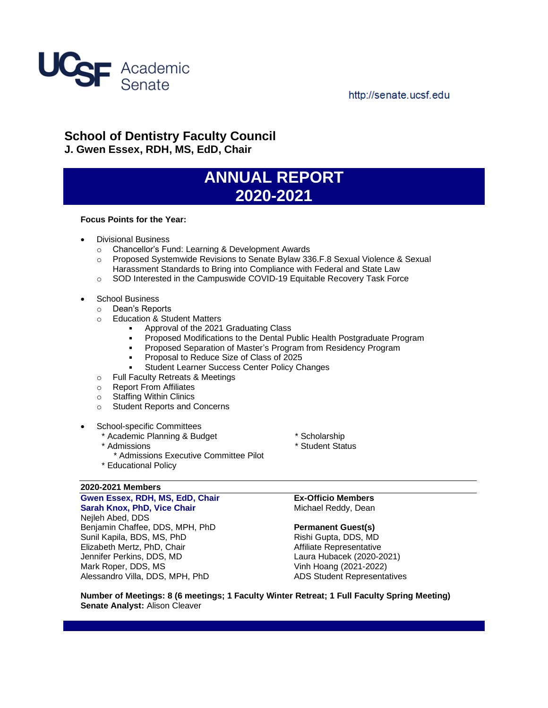

# http://senate.ucsf.edu

# **School of Dentistry Faculty Council J. Gwen Essex, RDH, MS, EdD, Chair**

# **ANNUAL REPORT 2020-2021**

## **Focus Points for the Year:**

- Divisional Business
	- o Chancellor's Fund: Learning & Development Awards
	- o Proposed Systemwide Revisions to Senate Bylaw 336.F.8 Sexual Violence & Sexual Harassment Standards to Bring into Compliance with Federal and State Law
	- o SOD Interested in the Campuswide COVID-19 Equitable Recovery Task Force
- School Business
	- o Dean's Reports
		- o Education & Student Matters
			- $\blacksquare$ Approval of the 2021 Graduating Class
			- Proposed Modifications to the Dental Public Health Postgraduate Program
			- **Proposed Separation of Master's Program from Residency Program**
			- Proposal to Reduce Size of Class of 2025
			- Student Learner Success Center Policy Changes
		- o Full Faculty Retreats & Meetings
		- o Report From Affiliates
		- o Staffing Within Clinics
		- o Student Reports and Concerns
- School-specific Committees
	- \* Academic Planning & Budget \* Scholarship
	- \* Admissions
		- \* Admissions Executive Committee Pilot
	- \* Educational Policy

## **2020-2021 Members Gwen Essex, RDH, MS, EdD, Chair Sarah Knox, PhD, Vice Chair**

Nejleh Abed, DDS Benjamin Chaffee, DDS, MPH, PhD Sunil Kapila, BDS, MS, PhD Elizabeth Mertz, PhD, Chair Jennifer Perkins, DDS, MD Mark Roper, DDS, MS Alessandro Villa, DDS, MPH, PhD

- 
- \* Student Status

**Ex-Officio Members** Michael Reddy, Dean

## **Permanent Guest(s)**

Rishi Gupta, DDS, MD Affiliate Representative Laura Hubacek (2020-2021) Vinh Hoang (2021-2022) ADS Student Representatives

**Number of Meetings: 8 (6 meetings; 1 Faculty Winter Retreat; 1 Full Faculty Spring Meeting) Senate Analyst:** Alison Cleaver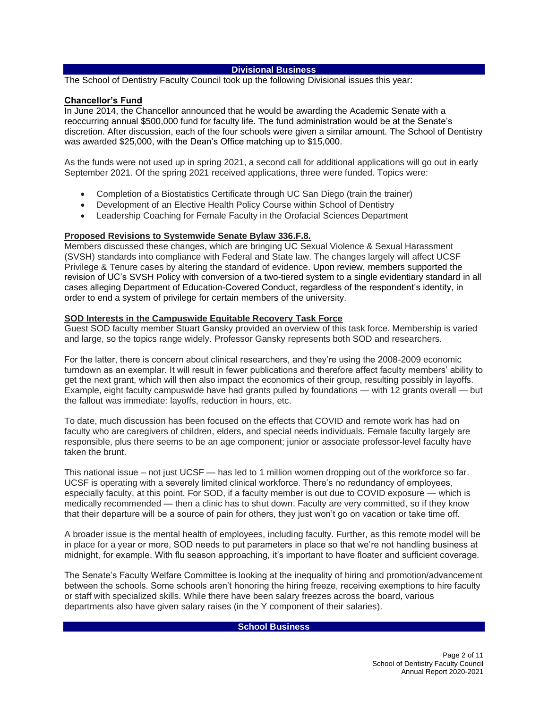## **Divisional Business**

The School of Dentistry Faculty Council took up the following Divisional issues this year:

## **Chancellor's Fund**

In June 2014, the Chancellor announced that he would be awarding the Academic Senate with a reoccurring annual \$500,000 fund for faculty life. The fund administration would be at the Senate's discretion. After discussion, each of the four schools were given a similar amount. The School of Dentistry was awarded \$25,000, with the Dean's Office matching up to \$15,000.

As the funds were not used up in spring 2021, a second call for additional applications will go out in early September 2021. Of the spring 2021 received applications, three were funded. Topics were:

- Completion of a Biostatistics Certificate through UC San Diego (train the trainer)
- Development of an Elective Health Policy Course within School of Dentistry
- Leadership Coaching for Female Faculty in the Orofacial Sciences Department

## **Proposed Revisions to Systemwide Senate Bylaw 336.F.8.**

Members discussed these changes, which are bringing UC Sexual Violence & Sexual Harassment (SVSH) standards into compliance with Federal and State law. The changes largely will affect UCSF Privilege & Tenure cases by altering the standard of evidence. Upon review, members supported the revision of UC's SVSH Policy with conversion of a two-tiered system to a single evidentiary standard in all cases alleging Department of Education-Covered Conduct, regardless of the respondent's identity, in order to end a system of privilege for certain members of the university.

## **SOD Interests in the Campuswide Equitable Recovery Task Force**

Guest SOD faculty member Stuart Gansky provided an overview of this task force. Membership is varied and large, so the topics range widely. Professor Gansky represents both SOD and researchers.

For the latter, there is concern about clinical researchers, and they're using the 2008-2009 economic turndown as an exemplar. It will result in fewer publications and therefore affect faculty members' ability to get the next grant, which will then also impact the economics of their group, resulting possibly in layoffs. Example, eight faculty campuswide have had grants pulled by foundations — with 12 grants overall — but the fallout was immediate: layoffs, reduction in hours, etc.

To date, much discussion has been focused on the effects that COVID and remote work has had on faculty who are caregivers of children, elders, and special needs individuals. Female faculty largely are responsible, plus there seems to be an age component; junior or associate professor-level faculty have taken the brunt.

This national issue – not just UCSF — has led to 1 million women dropping out of the workforce so far. UCSF is operating with a severely limited clinical workforce. There's no redundancy of employees, especially faculty, at this point. For SOD, if a faculty member is out due to COVID exposure — which is medically recommended — then a clinic has to shut down. Faculty are very committed, so if they know that their departure will be a source of pain for others, they just won't go on vacation or take time off.

A broader issue is the mental health of employees, including faculty. Further, as this remote model will be in place for a year or more, SOD needs to put parameters in place so that we're not handling business at midnight, for example. With flu season approaching, it's important to have floater and sufficient coverage.

The Senate's Faculty Welfare Committee is looking at the inequality of hiring and promotion/advancement between the schools. Some schools aren't honoring the hiring freeze, receiving exemptions to hire faculty or staff with specialized skills. While there have been salary freezes across the board, various departments also have given salary raises (in the Y component of their salaries).

## **School Business**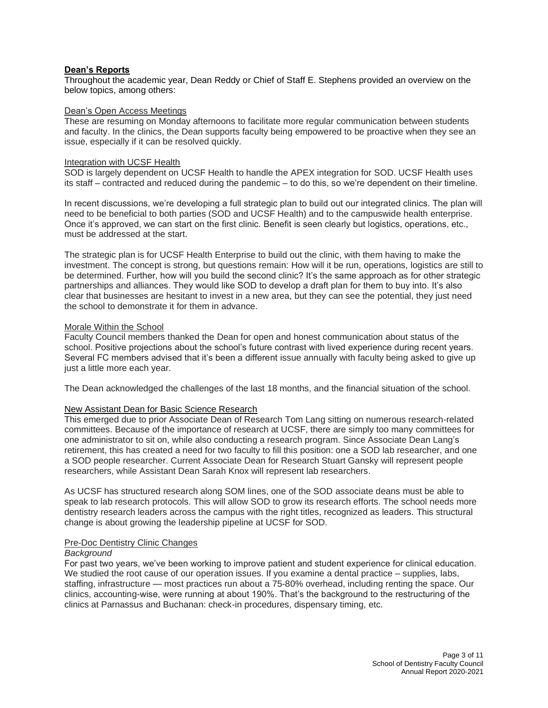## **Dean's Reports**

Throughout the academic year, Dean Reddy or Chief of Staff E. Stephens provided an overview on the below topics, among others:

## Dean's Open Access Meetings

These are resuming on Monday afternoons to facilitate more regular communication between students and faculty. In the clinics, the Dean supports faculty being empowered to be proactive when they see an issue, especially if it can be resolved quickly.

## Integration with UCSF Health

SOD is largely dependent on UCSF Health to handle the APEX integration for SOD. UCSF Health uses its staff – contracted and reduced during the pandemic – to do this, so we're dependent on their timeline.

In recent discussions, we're developing a full strategic plan to build out our integrated clinics. The plan will need to be beneficial to both parties (SOD and UCSF Health) and to the campuswide health enterprise. Once it's approved, we can start on the first clinic. Benefit is seen clearly but logistics, operations, etc., must be addressed at the start.

The strategic plan is for UCSF Health Enterprise to build out the clinic, with them having to make the investment. The concept is strong, but questions remain: How will it be run, operations, logistics are still to be determined. Further, how will you build the second clinic? It's the same approach as for other strategic partnerships and alliances. They would like SOD to develop a draft plan for them to buy into. It's also clear that businesses are hesitant to invest in a new area, but they can see the potential, they just need the school to demonstrate it for them in advance.

## Morale Within the School

Faculty Council members thanked the Dean for open and honest communication about status of the school. Positive projections about the school's future contrast with lived experience during recent years. Several FC members advised that it's been a different issue annually with faculty being asked to give up just a little more each year.

The Dean acknowledged the challenges of the last 18 months, and the financial situation of the school.

## New Assistant Dean for Basic Science Research

This emerged due to prior Associate Dean of Research Tom Lang sitting on numerous research-related committees. Because of the importance of research at UCSF, there are simply too many committees for one administrator to sit on, while also conducting a research program. Since Associate Dean Lang's retirement, this has created a need for two faculty to fill this position: one a SOD lab researcher, and one a SOD people researcher. Current Associate Dean for Research Stuart Gansky will represent people researchers, while Assistant Dean Sarah Knox will represent lab researchers.

As UCSF has structured research along SOM lines, one of the SOD associate deans must be able to speak to lab research protocols. This will allow SOD to grow its research efforts. The school needs more dentistry research leaders across the campus with the right titles, recognized as leaders. This structural change is about growing the leadership pipeline at UCSF for SOD.

#### Pre-Doc Dentistry Clinic Changes

#### *Background*

For past two years, we've been working to improve patient and student experience for clinical education. We studied the root cause of our operation issues. If you examine a dental practice – supplies, labs, staffing, infrastructure — most practices run about a 75-80% overhead, including renting the space. Our clinics, accounting-wise, were running at about 190%. That's the background to the restructuring of the clinics at Parnassus and Buchanan: check-in procedures, dispensary timing, etc.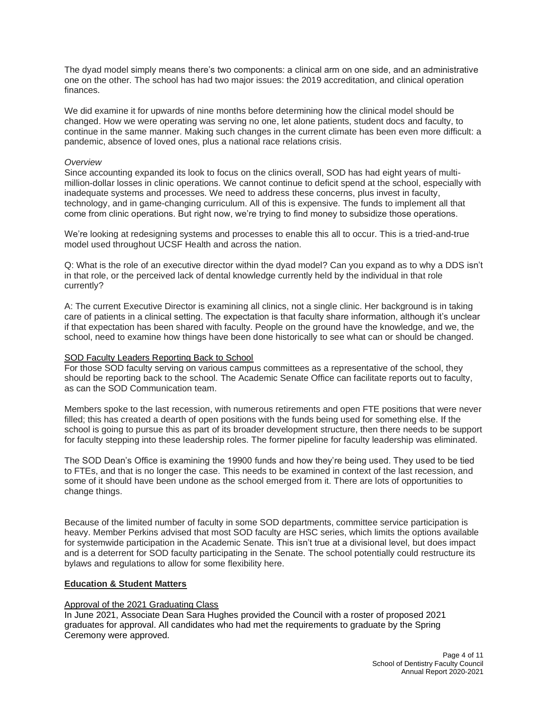The dyad model simply means there's two components: a clinical arm on one side, and an administrative one on the other. The school has had two major issues: the 2019 accreditation, and clinical operation finances.

We did examine it for upwards of nine months before determining how the clinical model should be changed. How we were operating was serving no one, let alone patients, student docs and faculty, to continue in the same manner. Making such changes in the current climate has been even more difficult: a pandemic, absence of loved ones, plus a national race relations crisis.

## *Overview*

Since accounting expanded its look to focus on the clinics overall, SOD has had eight years of multimillion-dollar losses in clinic operations. We cannot continue to deficit spend at the school, especially with inadequate systems and processes. We need to address these concerns, plus invest in faculty, technology, and in game-changing curriculum. All of this is expensive. The funds to implement all that come from clinic operations. But right now, we're trying to find money to subsidize those operations.

We're looking at redesigning systems and processes to enable this all to occur. This is a tried-and-true model used throughout UCSF Health and across the nation.

Q: What is the role of an executive director within the dyad model? Can you expand as to why a DDS isn't in that role, or the perceived lack of dental knowledge currently held by the individual in that role currently?

A: The current Executive Director is examining all clinics, not a single clinic. Her background is in taking care of patients in a clinical setting. The expectation is that faculty share information, although it's unclear if that expectation has been shared with faculty. People on the ground have the knowledge, and we, the school, need to examine how things have been done historically to see what can or should be changed.

## SOD Faculty Leaders Reporting Back to School

For those SOD faculty serving on various campus committees as a representative of the school, they should be reporting back to the school. The Academic Senate Office can facilitate reports out to faculty, as can the SOD Communication team.

Members spoke to the last recession, with numerous retirements and open FTE positions that were never filled; this has created a dearth of open positions with the funds being used for something else. If the school is going to pursue this as part of its broader development structure, then there needs to be support for faculty stepping into these leadership roles. The former pipeline for faculty leadership was eliminated.

The SOD Dean's Office is examining the 19900 funds and how they're being used. They used to be tied to FTEs, and that is no longer the case. This needs to be examined in context of the last recession, and some of it should have been undone as the school emerged from it. There are lots of opportunities to change things.

Because of the limited number of faculty in some SOD departments, committee service participation is heavy. Member Perkins advised that most SOD faculty are HSC series, which limits the options available for systemwide participation in the Academic Senate. This isn't true at a divisional level, but does impact and is a deterrent for SOD faculty participating in the Senate. The school potentially could restructure its bylaws and regulations to allow for some flexibility here.

## **Education & Student Matters**

## Approval of the 2021 Graduating Class

In June 2021, Associate Dean Sara Hughes provided the Council with a roster of proposed 2021 graduates for approval. All candidates who had met the requirements to graduate by the Spring Ceremony were approved.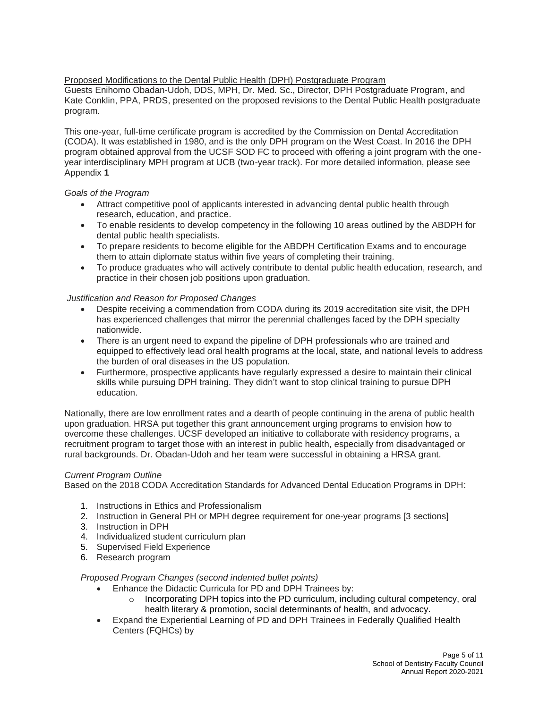Proposed Modifications to the Dental Public Health (DPH) Postgraduate Program Guests Enihomo Obadan-Udoh, DDS, MPH, Dr. Med. Sc., Director, DPH Postgraduate Program, and Kate Conklin, PPA, PRDS, presented on the proposed revisions to the Dental Public Health postgraduate program.

This one-year, full-time certificate program is accredited by the Commission on Dental Accreditation (CODA). It was established in 1980, and is the only DPH program on the West Coast. In 2016 the DPH program obtained approval from the UCSF SOD FC to proceed with offering a joint program with the oneyear interdisciplinary MPH program at UCB (two-year track). For more detailed information, please see [Appendix](https://senate.ucsf.edu/sites/default/files/2021-08/SOD-Annual-Report-2020-2021-Appendix-1.pdf) **1**

# *Goals of the Program*

- Attract competitive pool of applicants interested in advancing dental public health through research, education, and practice.
- To enable residents to develop competency in the following 10 areas outlined by the ABDPH for dental public health specialists.
- To prepare residents to become eligible for the ABDPH Certification Exams and to encourage them to attain diplomate status within five years of completing their training.
- To produce graduates who will actively contribute to dental public health education, research, and practice in their chosen job positions upon graduation.

# *Justification and Reason for Proposed Changes*

- Despite receiving a commendation from CODA during its 2019 accreditation site visit, the DPH has experienced challenges that mirror the perennial challenges faced by the DPH specialty nationwide.
- There is an urgent need to expand the pipeline of DPH professionals who are trained and equipped to effectively lead oral health programs at the local, state, and national levels to address the burden of oral diseases in the US population.
- Furthermore, prospective applicants have regularly expressed a desire to maintain their clinical skills while pursuing DPH training. They didn't want to stop clinical training to pursue DPH education.

Nationally, there are low enrollment rates and a dearth of people continuing in the arena of public health upon graduation. HRSA put together this grant announcement urging programs to envision how to overcome these challenges. UCSF developed an initiative to collaborate with residency programs, a recruitment program to target those with an interest in public health, especially from disadvantaged or rural backgrounds. Dr. Obadan-Udoh and her team were successful in obtaining a HRSA grant.

# *Current Program Outline*

Based on the 2018 CODA Accreditation Standards for Advanced Dental Education Programs in DPH:

- 1. Instructions in Ethics and Professionalism
- 2. Instruction in General PH or MPH degree requirement for one-year programs [3 sections]
- 3. Instruction in DPH
- 4. Individualized student curriculum plan
- 5. Supervised Field Experience
- 6. Research program

# *Proposed Program Changes (second indented bullet points)*

- Enhance the Didactic Curricula for PD and DPH Trainees by:
	- $\circ$  Incorporating DPH topics into the PD curriculum, including cultural competency, oral health literary & promotion, social determinants of health, and advocacy.
- Expand the Experiential Learning of PD and DPH Trainees in Federally Qualified Health Centers (FQHCs) by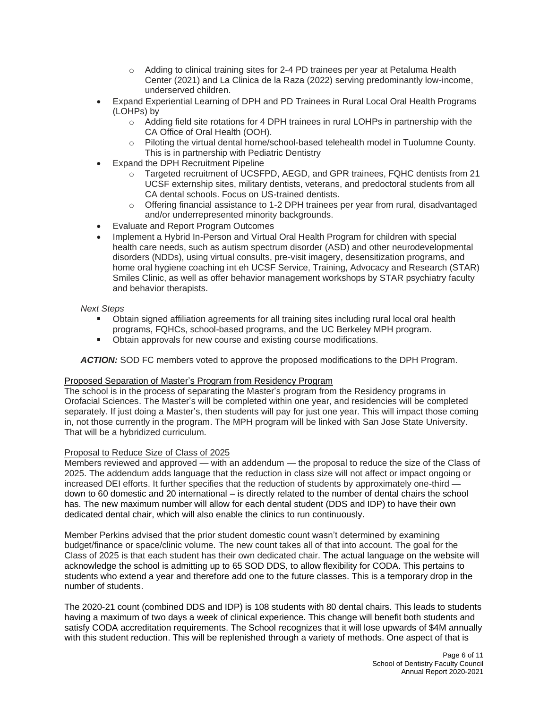- o Adding to clinical training sites for 2-4 PD trainees per year at Petaluma Health Center (2021) and La Clinica de la Raza (2022) serving predominantly low-income, underserved children.
- Expand Experiential Learning of DPH and PD Trainees in Rural Local Oral Health Programs (LOHPs) by
	- $\circ$  Adding field site rotations for 4 DPH trainees in rural LOHPs in partnership with the CA Office of Oral Health (OOH).
	- o Piloting the virtual dental home/school-based telehealth model in Tuolumne County. This is in partnership with Pediatric Dentistry
- Expand the DPH Recruitment Pipeline
	- o Targeted recruitment of UCSFPD, AEGD, and GPR trainees, FQHC dentists from 21 UCSF externship sites, military dentists, veterans, and predoctoral students from all CA dental schools. Focus on US-trained dentists.
	- $\circ$  Offering financial assistance to 1-2 DPH trainees per year from rural, disadvantaged and/or underrepresented minority backgrounds.
- Evaluate and Report Program Outcomes
- Implement a Hybrid In-Person and Virtual Oral Health Program for children with special health care needs, such as autism spectrum disorder (ASD) and other neurodevelopmental disorders (NDDs), using virtual consults, pre-visit imagery, desensitization programs, and home oral hygiene coaching int eh UCSF Service, Training, Advocacy and Research (STAR) Smiles Clinic, as well as offer behavior management workshops by STAR psychiatry faculty and behavior therapists.

*Next Steps*

- Obtain signed affiliation agreements for all training sites including rural local oral health programs, FQHCs, school-based programs, and the UC Berkeley MPH program.
- Obtain approvals for new course and existing course modifications.  $\blacksquare$

*ACTION:* SOD FC members voted to approve the proposed modifications to the DPH Program.

## Proposed Separation of Master's Program from Residency Program

The school is in the process of separating the Master's program from the Residency programs in Orofacial Sciences. The Master's will be completed within one year, and residencies will be completed separately. If just doing a Master's, then students will pay for just one year. This will impact those coming in, not those currently in the program. The MPH program will be linked with San Jose State University. That will be a hybridized curriculum.

## Proposal to Reduce Size of Class of 2025

Members reviewed and approved — with an addendum — the proposal to reduce the size of the Class of 2025. The addendum adds language that the reduction in class size will not affect or impact ongoing or increased DEI efforts. It further specifies that the reduction of students by approximately one-third down to 60 domestic and 20 international – is directly related to the number of dental chairs the school has. The new maximum number will allow for each dental student (DDS and IDP) to have their own dedicated dental chair, which will also enable the clinics to run continuously.

Member Perkins advised that the prior student domestic count wasn't determined by examining budget/finance or space/clinic volume. The new count takes all of that into account. The goal for the Class of 2025 is that each student has their own dedicated chair. The actual language on the website will acknowledge the school is admitting up to 65 SOD DDS, to allow flexibility for CODA. This pertains to students who extend a year and therefore add one to the future classes. This is a temporary drop in the number of students.

The 2020-21 count (combined DDS and IDP) is 108 students with 80 dental chairs. This leads to students having a maximum of two days a week of clinical experience. This change will benefit both students and satisfy CODA accreditation requirements. The School recognizes that it will lose upwards of \$4M annually with this student reduction. This will be replenished through a variety of methods. One aspect of that is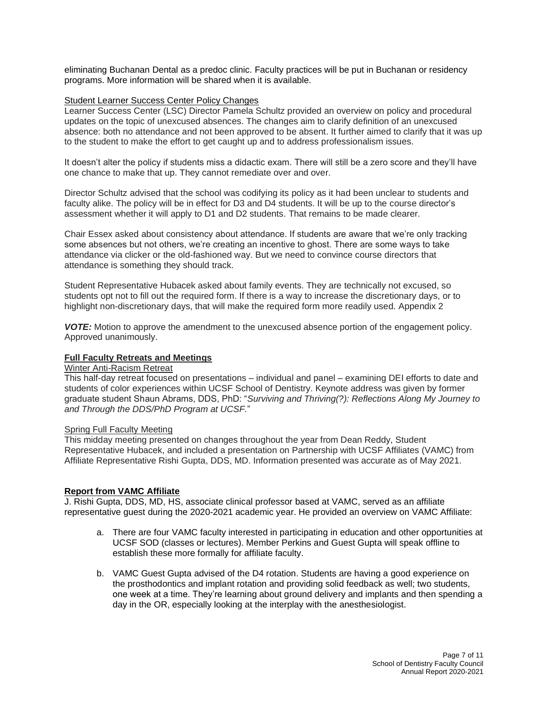eliminating Buchanan Dental as a predoc clinic. Faculty practices will be put in Buchanan or residency programs. More information will be shared when it is available.

# Student Learner Success Center Policy Changes

Learner Success Center (LSC) Director Pamela Schultz provided an overview on policy and procedural updates on the topic of unexcused absences. The changes aim to clarify definition of an unexcused absence: both no attendance and not been approved to be absent. It further aimed to clarify that it was up to the student to make the effort to get caught up and to address professionalism issues.

It doesn't alter the policy if students miss a didactic exam. There will still be a zero score and they'll have one chance to make that up. They cannot remediate over and over.

Director Schultz advised that the school was codifying its policy as it had been unclear to students and faculty alike. The policy will be in effect for D3 and D4 students. It will be up to the course director's assessment whether it will apply to D1 and D2 students. That remains to be made clearer.

Chair Essex asked about consistency about attendance. If students are aware that we're only tracking some absences but not others, we're creating an incentive to ghost. There are some ways to take attendance via clicker or the old-fashioned way. But we need to convince course directors that attendance is something they should track.

Student Representative Hubacek asked about family events. They are technically not excused, so students opt not to fill out the required form. If there is a way to increase the discretionary days, or to highlight non-discretionary days, that will make the required form more readily use[d. Appendix 2](https://senate.ucsf.edu/sites/default/files/2021-08/SOD-Annual-Report-2020-2021-Appendix-2.pdf)

*VOTE:* Motion to approve the amendment to the unexcused absence portion of the engagement policy. Approved unanimously.

# **Full Faculty Retreats and Meetings**

## Winter Anti-Racism Retreat

This half-day retreat focused on presentations – individual and panel – examining DEI efforts to date and students of color experiences within UCSF School of Dentistry. Keynote address was given by former graduate student Shaun Abrams, DDS, PhD: "*Surviving and Thriving(?): Reflections Along My Journey to and Through the DDS/PhD Program at UCSF.*"

# Spring Full Faculty Meeting

This midday meeting presented on changes throughout the year from Dean Reddy, Student Representative Hubacek, and included a presentation on Partnership with UCSF Affiliates (VAMC) from Affiliate Representative Rishi Gupta, DDS, MD. Information presented was accurate as of May 2021.

## **Report from VAMC Affiliate**

J. Rishi Gupta, DDS, MD, HS, associate clinical professor based at VAMC, served as an affiliate representative guest during the 2020-2021 academic year. He provided an overview on VAMC Affiliate:

- a. There are four VAMC faculty interested in participating in education and other opportunities at UCSF SOD (classes or lectures). Member Perkins and Guest Gupta will speak offline to establish these more formally for affiliate faculty.
- b. VAMC Guest Gupta advised of the D4 rotation. Students are having a good experience on the prosthodontics and implant rotation and providing solid feedback as well; two students, one week at a time. They're learning about ground delivery and implants and then spending a day in the OR, especially looking at the interplay with the anesthesiologist.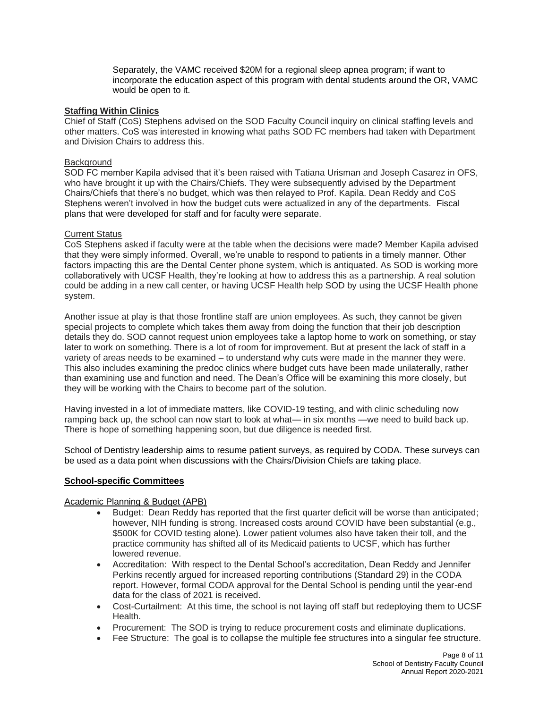Separately, the VAMC received \$20M for a regional sleep apnea program; if want to incorporate the education aspect of this program with dental students around the OR, VAMC would be open to it.

# **Staffing Within Clinics**

Chief of Staff (CoS) Stephens advised on the SOD Faculty Council inquiry on clinical staffing levels and other matters. CoS was interested in knowing what paths SOD FC members had taken with Department and Division Chairs to address this.

# Background

SOD FC member Kapila advised that it's been raised with Tatiana Urisman and Joseph Casarez in OFS, who have brought it up with the Chairs/Chiefs. They were subsequently advised by the Department Chairs/Chiefs that there's no budget, which was then relayed to Prof. Kapila. Dean Reddy and CoS Stephens weren't involved in how the budget cuts were actualized in any of the departments. Fiscal plans that were developed for staff and for faculty were separate.

## Current Status

CoS Stephens asked if faculty were at the table when the decisions were made? Member Kapila advised that they were simply informed. Overall, we're unable to respond to patients in a timely manner. Other factors impacting this are the Dental Center phone system, which is antiquated. As SOD is working more collaboratively with UCSF Health, they're looking at how to address this as a partnership. A real solution could be adding in a new call center, or having UCSF Health help SOD by using the UCSF Health phone system.

Another issue at play is that those frontline staff are union employees. As such, they cannot be given special projects to complete which takes them away from doing the function that their job description details they do. SOD cannot request union employees take a laptop home to work on something, or stay later to work on something. There is a lot of room for improvement. But at present the lack of staff in a variety of areas needs to be examined – to understand why cuts were made in the manner they were. This also includes examining the predoc clinics where budget cuts have been made unilaterally, rather than examining use and function and need. The Dean's Office will be examining this more closely, but they will be working with the Chairs to become part of the solution.

Having invested in a lot of immediate matters, like COVID-19 testing, and with clinic scheduling now ramping back up, the school can now start to look at what— in six months —we need to build back up. There is hope of something happening soon, but due diligence is needed first.

School of Dentistry leadership aims to resume patient surveys, as required by CODA. These surveys can be used as a data point when discussions with the Chairs/Division Chiefs are taking place.

## **School-specific Committees**

## Academic Planning & Budget (APB)

- Budget: Dean Reddy has reported that the first quarter deficit will be worse than anticipated; however, NIH funding is strong. Increased costs around COVID have been substantial (e.g., \$500K for COVID testing alone). Lower patient volumes also have taken their toll, and the practice community has shifted all of its Medicaid patients to UCSF, which has further lowered revenue.
- Accreditation: With respect to the Dental School's accreditation, Dean Reddy and Jennifer Perkins recently argued for increased reporting contributions (Standard 29) in the CODA report. However, formal CODA approval for the Dental School is pending until the year-end data for the class of 2021 is received.
- Cost-Curtailment: At this time, the school is not laying off staff but redeploying them to UCSF **Health**
- Procurement: The SOD is trying to reduce procurement costs and eliminate duplications.
- Fee Structure: The goal is to collapse the multiple fee structures into a singular fee structure.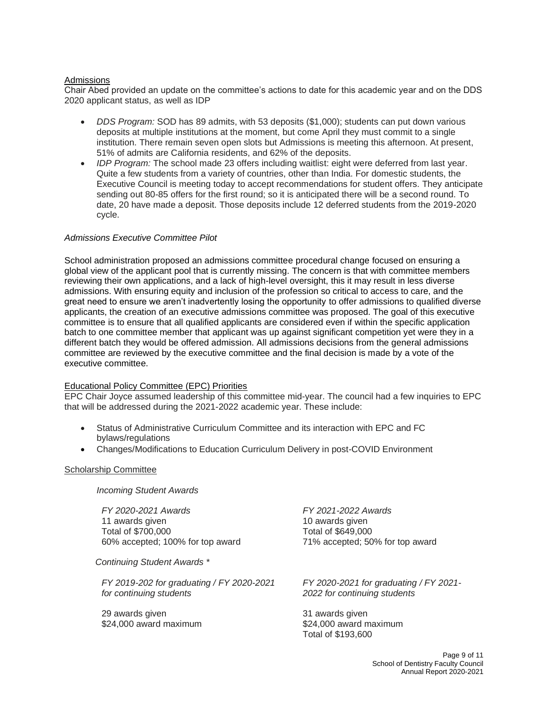# Admissions

Chair Abed provided an update on the committee's actions to date for this academic year and on the DDS 2020 applicant status, as well as IDP

- *DDS Program:* SOD has 89 admits, with 53 deposits (\$1,000); students can put down various deposits at multiple institutions at the moment, but come April they must commit to a single institution. There remain seven open slots but Admissions is meeting this afternoon. At present, 51% of admits are California residents, and 62% of the deposits.
- *IDP Program:* The school made 23 offers including waitlist: eight were deferred from last year. Quite a few students from a variety of countries, other than India. For domestic students, the Executive Council is meeting today to accept recommendations for student offers. They anticipate sending out 80-85 offers for the first round; so it is anticipated there will be a second round. To date, 20 have made a deposit. Those deposits include 12 deferred students from the 2019-2020 cycle.

## *Admissions Executive Committee Pilot*

School administration proposed an admissions committee procedural change focused on ensuring a global view of the applicant pool that is currently missing. The concern is that with committee members reviewing their own applications, and a lack of high-level oversight, this it may result in less diverse admissions. With ensuring equity and inclusion of the profession so critical to access to care, and the great need to ensure we aren't inadvertently losing the opportunity to offer admissions to qualified diverse applicants, the creation of an executive admissions committee was proposed. The goal of this executive committee is to ensure that all qualified applicants are considered even if within the specific application batch to one committee member that applicant was up against significant competition yet were they in a different batch they would be offered admission. All admissions decisions from the general admissions committee are reviewed by the executive committee and the final decision is made by a vote of the executive committee.

## Educational Policy Committee (EPC) Priorities

EPC Chair Joyce assumed leadership of this committee mid-year. The council had a few inquiries to EPC that will be addressed during the 2021-2022 academic year. These include:

- Status of Administrative Curriculum Committee and its interaction with EPC and FC bylaws/regulations
- Changes/Modifications to Education Curriculum Delivery in post-COVID Environment

## Scholarship Committee

*Incoming Student Awards*

*FY 2020-2021 Awards* 11 awards given Total of \$700,000 60% accepted; 100% for top award

 *Continuing Student Awards \**

*FY 2019-202 for graduating / FY 2020-2021 for continuing students*

29 awards given \$24,000 award maximum

*FY 2021-2022 Awards* 10 awards given Total of \$649,000 71% accepted; 50% for top award

*FY 2020-2021 for graduating / FY 2021- 2022 for continuing students*

31 awards given \$24,000 award maximum Total of \$193,600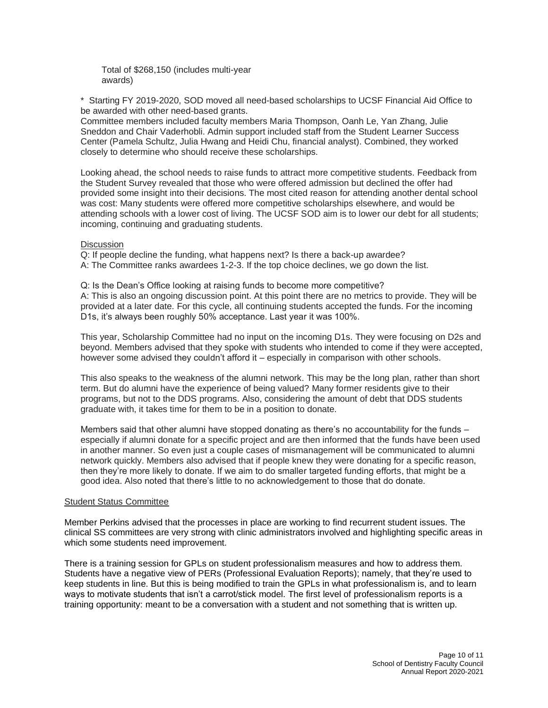Total of \$268,150 (includes multi-year awards)

\* Starting FY 2019-2020, SOD moved all need-based scholarships to UCSF Financial Aid Office to be awarded with other need-based grants.

Committee members included faculty members Maria Thompson, Oanh Le, Yan Zhang, Julie Sneddon and Chair Vaderhobli. Admin support included staff from the Student Learner Success Center (Pamela Schultz, Julia Hwang and Heidi Chu, financial analyst). Combined, they worked closely to determine who should receive these scholarships.

Looking ahead, the school needs to raise funds to attract more competitive students. Feedback from the Student Survey revealed that those who were offered admission but declined the offer had provided some insight into their decisions. The most cited reason for attending another dental school was cost: Many students were offered more competitive scholarships elsewhere, and would be attending schools with a lower cost of living. The UCSF SOD aim is to lower our debt for all students; incoming, continuing and graduating students.

## **Discussion**

Q: If people decline the funding, what happens next? Is there a back-up awardee? A: The Committee ranks awardees 1-2-3. If the top choice declines, we go down the list.

Q: Is the Dean's Office looking at raising funds to become more competitive? A: This is also an ongoing discussion point. At this point there are no metrics to provide. They will be provided at a later date. For this cycle, all continuing students accepted the funds. For the incoming D1s, it's always been roughly 50% acceptance. Last year it was 100%.

This year, Scholarship Committee had no input on the incoming D1s. They were focusing on D2s and beyond. Members advised that they spoke with students who intended to come if they were accepted, however some advised they couldn't afford it – especially in comparison with other schools.

This also speaks to the weakness of the alumni network. This may be the long plan, rather than short term. But do alumni have the experience of being valued? Many former residents give to their programs, but not to the DDS programs. Also, considering the amount of debt that DDS students graduate with, it takes time for them to be in a position to donate.

Members said that other alumni have stopped donating as there's no accountability for the funds – especially if alumni donate for a specific project and are then informed that the funds have been used in another manner. So even just a couple cases of mismanagement will be communicated to alumni network quickly. Members also advised that if people knew they were donating for a specific reason, then they're more likely to donate. If we aim to do smaller targeted funding efforts, that might be a good idea. Also noted that there's little to no acknowledgement to those that do donate.

#### Student Status Committee

Member Perkins advised that the processes in place are working to find recurrent student issues. The clinical SS committees are very strong with clinic administrators involved and highlighting specific areas in which some students need improvement.

There is a training session for GPLs on student professionalism measures and how to address them. Students have a negative view of PERs (Professional Evaluation Reports); namely, that they're used to keep students in line. But this is being modified to train the GPLs in what professionalism is, and to learn ways to motivate students that isn't a carrot/stick model. The first level of professionalism reports is a training opportunity: meant to be a conversation with a student and not something that is written up.